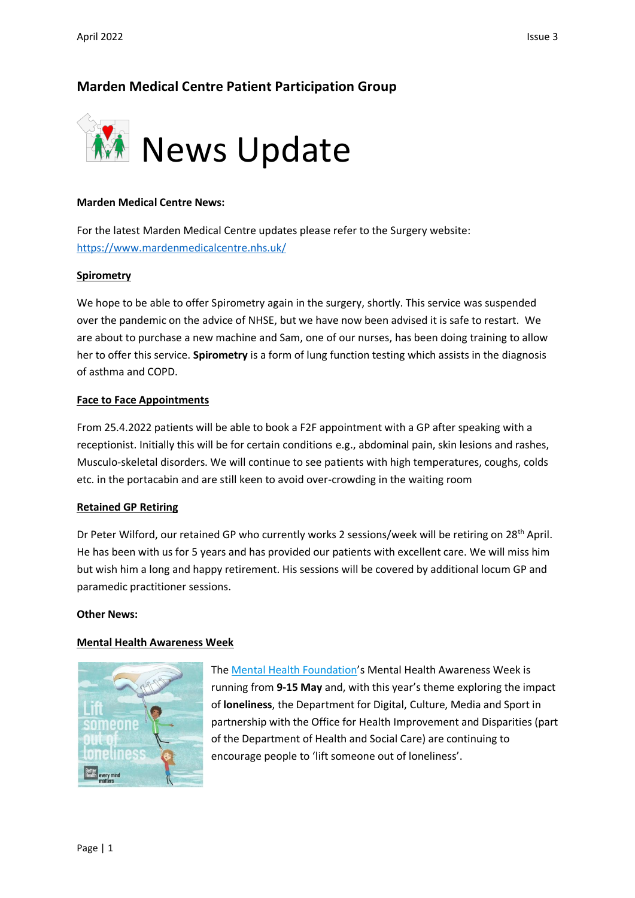# **Marden Medical Centre Patient Participation Group**



## **Marden Medical Centre News:**

For the latest Marden Medical Centre updates please refer to the Surgery website: <https://www.mardenmedicalcentre.nhs.uk/>

### **Spirometry**

We hope to be able to offer Spirometry again in the surgery, shortly. This service was suspended over the pandemic on the advice of NHSE, but we have now been advised it is safe to restart. We are about to purchase a new machine and Sam, one of our nurses, has been doing training to allow her to offer this service. **Spirometry** is a form of lung function testing which assists in the diagnosis of asthma and COPD.

# **Face to Face Appointments**

From 25.4.2022 patients will be able to book a F2F appointment with a GP after speaking with a receptionist. Initially this will be for certain conditions e.g., abdominal pain, skin lesions and rashes, Musculo-skeletal disorders. We will continue to see patients with high temperatures, coughs, colds etc. in the portacabin and are still keen to avoid over-crowding in the waiting room

#### **Retained GP Retiring**

Dr Peter Wilford, our retained GP who currently works 2 sessions/week will be retiring on 28<sup>th</sup> April. He has been with us for 5 years and has provided our patients with excellent care. We will miss him but wish him a long and happy retirement. His sessions will be covered by additional locum GP and paramedic practitioner sessions.

#### **Other News:**

#### **Mental Health Awareness Week**



The [Mental Health Foundation](http://links.e.phepartnerships.co.uk/els/v2/DzLWFGpqvata/Y0RQM25aNjU4YmliL0MzSmR2eWs1azhsVzFCaE9pb2ExNGxYZWg5dmRBNFlnOS9STlRIU1FiQ21EZllzbk9GUEdBSVNEVThFbGNFWEFYd0k0QVh0SWRkd2h3KzM1TllTNW5Md2tXQ2tlTEU9S0/)'s Mental Health Awareness Week is running from **9-15 May** and, with this year's theme exploring the impact of **loneliness**, the Department for Digital, Culture, Media and Sport in partnership with the Office for Health Improvement and Disparities (part of the Department of Health and Social Care) are continuing to encourage people to 'lift someone out of loneliness'.